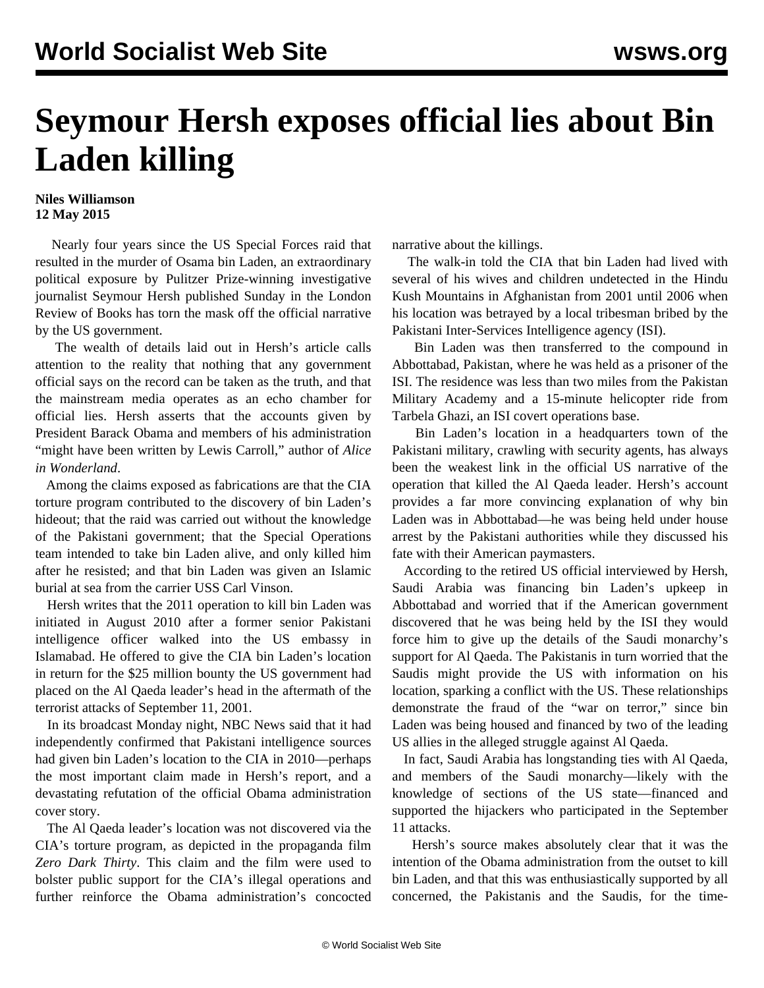## **Seymour Hersh exposes official lies about Bin Laden killing**

## **Niles Williamson 12 May 2015**

 Nearly four years since the US Special Forces raid that resulted in the murder of Osama bin Laden, an extraordinary political exposure by Pulitzer Prize-winning investigative journalist Seymour Hersh published Sunday in the [London](http://www.lrb.co.uk/v37/n10/seymour-m-hersh/the-killing-of-osama-bin-laden) [Review of Books](http://www.lrb.co.uk/v37/n10/seymour-m-hersh/the-killing-of-osama-bin-laden) has torn the mask off the official narrative by the US government.

 The wealth of details laid out in Hersh's article calls attention to the reality that nothing that any government official says on the record can be taken as the truth, and that the mainstream media operates as an echo chamber for official lies. Hersh asserts that the accounts given by President Barack Obama and members of his administration "might have been written by Lewis Carroll," author of *Alice in Wonderland*.

 Among the claims exposed as fabrications are that the CIA torture program contributed to the discovery of bin Laden's hideout; that the raid was carried out without the knowledge of the Pakistani government; that the Special Operations team intended to take bin Laden alive, and only killed him after he resisted; and that bin Laden was given an Islamic burial at sea from the carrier USS Carl Vinson.

 Hersh writes that the 2011 operation to kill bin Laden was initiated in August 2010 after a former senior Pakistani intelligence officer walked into the US embassy in Islamabad. He offered to give the CIA bin Laden's location in return for the \$25 million bounty the US government had placed on the Al Qaeda leader's head in the aftermath of the terrorist attacks of September 11, 2001.

 In its broadcast Monday night, NBC News said that it had independently confirmed that Pakistani intelligence sources had given bin Laden's location to the CIA in 2010—perhaps the most important claim made in Hersh's report, and a devastating refutation of the official Obama administration cover story.

 The Al Qaeda leader's location was not discovered via the CIA's torture program, as depicted in the propaganda film *Zero Dark Thirty*. This claim and the film were used to bolster public support for the CIA's illegal operations and further reinforce the Obama administration's concocted narrative about the killings.

 The walk-in told the CIA that bin Laden had lived with several of his wives and children undetected in the Hindu Kush Mountains in Afghanistan from 2001 until 2006 when his location was betrayed by a local tribesman bribed by the Pakistani Inter-Services Intelligence agency (ISI).

 Bin Laden was then transferred to the compound in Abbottabad, Pakistan, where he was held as a prisoner of the ISI. The residence was less than two miles from the Pakistan Military Academy and a 15-minute helicopter ride from Tarbela Ghazi, an ISI covert operations base.

 Bin Laden's location in a headquarters town of the Pakistani military, crawling with security agents, has always been the weakest link in the official US narrative of the operation that killed the Al Qaeda leader. Hersh's account provides a far more convincing explanation of why bin Laden was in Abbottabad—he was being held under house arrest by the Pakistani authorities while they discussed his fate with their American paymasters.

 According to the retired US official interviewed by Hersh, Saudi Arabia was financing bin Laden's upkeep in Abbottabad and worried that if the American government discovered that he was being held by the ISI they would force him to give up the details of the Saudi monarchy's support for Al Qaeda. The Pakistanis in turn worried that the Saudis might provide the US with information on his location, sparking a conflict with the US. These relationships demonstrate the fraud of the "war on terror," since bin Laden was being housed and financed by two of the leading US allies in the alleged struggle against Al Qaeda.

 In fact, Saudi Arabia has longstanding ties with Al Qaeda, and members of the Saudi monarchy—likely with the knowledge of sections of the US state—financed and supported the hijackers who participated in the September 11 attacks.

 Hersh's source makes absolutely clear that it was the intention of the Obama administration from the outset to kill bin Laden, and that this was enthusiastically supported by all concerned, the Pakistanis and the Saudis, for the time